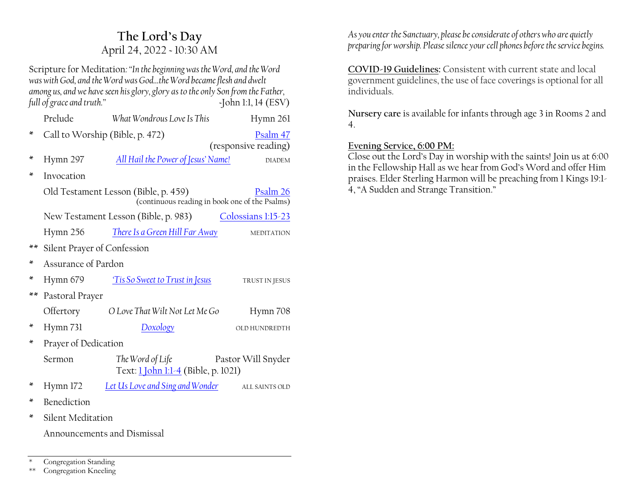# **The Lord·s Day** April 24, 2022 ~ 10:30 AM

Scripture for Meditation*:´In the beginning was the Word, and the Word*  was with God, and the Word was God...the Word became flesh and dwelt *among us, and we have seen his glory, glory as to the only Son from the Father, full of grace and truth.*<sup>*n*</sup> *two truth.*<sup>*n*</sup> *a m a f ohn 1:1, 14 (ESV)* 

|      | Prelude                                                                                            | What Wondrous Love Is This                              | Hymn 261           |  |
|------|----------------------------------------------------------------------------------------------------|---------------------------------------------------------|--------------------|--|
| ∗    | Call to Worship (Bible, p. 472)<br>Psalm 47<br>(responsive reading)                                |                                                         |                    |  |
| ∗    | Hymn 297                                                                                           | All Hail the Power of Jesus' Name!                      | <b>DIADEM</b>      |  |
| ×    | Invocation                                                                                         |                                                         |                    |  |
|      | Old Testament Lesson (Bible, p. 459)<br>Psalm 26<br>(continuous reading in book one of the Psalms) |                                                         |                    |  |
|      | New Testament Lesson (Bible, p. 983)<br>Colossians 1:15-23                                         |                                                         |                    |  |
|      | Hymn 256                                                                                           | There Is a Green Hill Far Away                          | <b>MEDITATION</b>  |  |
| $**$ | Silent Prayer of Confession                                                                        |                                                         |                    |  |
| ×    | Assurance of Pardon                                                                                |                                                         |                    |  |
| ×    | Hymn 679                                                                                           | Tis So Sweet to Trust in Jesus                          | TRUST IN JESUS     |  |
| $**$ | Pastoral Prayer                                                                                    |                                                         |                    |  |
|      | Offertory                                                                                          | O Love That Wilt Not Let Me Go                          | Hymn 708           |  |
| ∗    | Hymn 731                                                                                           | Doxology                                                | OLD HUNDREDTH      |  |
| ×    | Prayer of Dedication                                                                               |                                                         |                    |  |
|      | Sermon                                                                                             | The Word of Life<br>Text: 1 John 1:1-4 (Bible, p. 1021) | Pastor Will Snyder |  |
| ∗    | Hymn 172                                                                                           | Let Us Love and Sing and Wonder                         | ALL SAINTS OLD     |  |
| ×    | Benediction                                                                                        |                                                         |                    |  |
| ×    | Silent Meditation                                                                                  |                                                         |                    |  |
|      | Announcements and Dismissal                                                                        |                                                         |                    |  |

Congregation Standing

\*\* Congregation Kneeling

*As you enter the Sanctuary, please be considerate of others who are quietly preparing for worship. Please silence your cell phones before the service begins.*

**COVID-19 Guidelines:** Consistent with current state and local government guidelines, the use of face coverings is optional for all individuals.

**Nursery care** is available for infants through age 3 in Rooms 2 and 4.

#### **Evening Service, 6:00 PM:**

Close out the Lord's Day in worship with the saints! Join us at  $6:00$ in the Fellowship Hall as we hear from God's Word and offer Him praises. Elder Sterling Harmon will be preaching from 1 Kings 19:1- 4, "A Sudden and Strange Transition."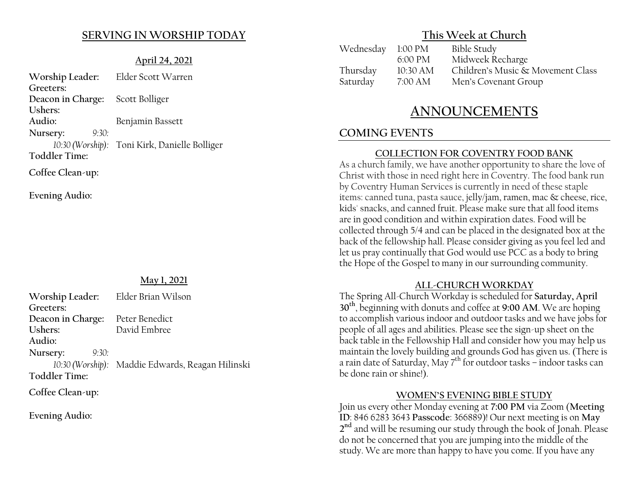#### **SERVING IN WORSHIP TODAY**

#### **April 24, 2021**

**Worship Leader:** Elder Scott Warren **Greeters: Deacon in Charge:** Scott Bolliger **Ushers: Audio:** Benjamin Bassett **Nursery:** *9:30: 10:30 (Worship):* Toni Kirk, Danielle Bolliger **Toddler Time: Coffee Clean-up:**

**Evening Audio:**

#### **May 1, 2021**

**Worship Leader:** Elder Brian Wilson **Greeters: Deacon in Charge:** Peter Benedict **Ushers:** David Embree **Audio: Nursery:** *9:30: 10:30 (Worship):* Maddie Edwards, Reagan Hilinski **Toddler Time:**

**Coffee Clean-up:**

**Evening Audio:**

## **This Week at Church**

| Wednesday 1:00 PM |                   | <b>Bible Study</b>                |
|-------------------|-------------------|-----------------------------------|
|                   | $6:00 \text{ PM}$ | Midweek Recharge                  |
| Thursday          | 10:30 AM          | Children's Music & Movement Class |
| Saturday          | 7:00 AM           | Men's Covenant Group              |

# **ANNOUNCEMENTS**

# **COMING EVENTS**

#### **COLLECTION FOR COVENTRY FOOD BANK**

As a church family, we have another opportunity to share the love of Christ with those in need right here in Coventry. The food bank run by Coventry Human Services is currently in need of these staple items: canned tuna, pasta sauce, jelly/jam, ramen, mac & cheese, rice, kids' snacks, and canned fruit. Please make sure that all food items are in good condition and within expiration dates. Food will be collected through 5/4 and can be placed in the designated box at the back of the fellowship hall. Please consider giving as you feel led and let us pray continually that God would use PCC as a body to bring the Hope of the Gospel to many in our surrounding community.

#### **ALL-CHURCH WORKDAY**

The Spring All-Church Workday is scheduled for **Saturday, April 30th**, beginning with donuts and coffee at **9:00 AM**. We are hoping to accomplish various indoor and outdoor tasks and we have jobs for people of all ages and abilities. Please see the sign-up sheet on the back table in the Fellowship Hall and consider how you may help us maintain the lovely building and grounds God has given us. (There is a rain date of Saturday, May  $7<sup>th</sup>$  for outdoor tasks  $-$  indoor tasks can be done rain or shine!).

#### **:20(1·6(9(1,1\*%,%/(STUDY**

Join us every other Monday evening at **7:00 PM** via Zoom (**Meeting ID**: 846 6283 3643 **Passcode**: 366889)! Our next meeting is on **May 2nd** and will be resuming our study through the book of Jonah. Please do not be concerned that you are jumping into the middle of the study. We are more than happy to have you come. If you have any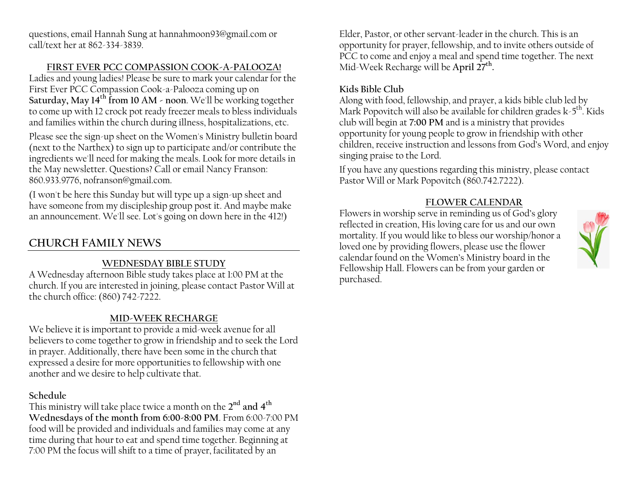questions, email Hannah Sung at hannahmoon93@gmail.com or call/text her at 862-334-3839.

#### **FIRST EVER PCC COMPASSION COOK-A-PALOOZA!**

Ladies and young ladies! Please be sure to mark your calendar for the First Ever PCC Compassion Cook-a-Palooza coming up on **Saturday, May 14th from 10 AM - noon**. We'll be working together to come up with 12 crock pot ready freezer meals to bless individuals and families within the church during illness, hospitalizations, etc.

Please see the sign-up sheet on the Women's Ministry bulletin board (next to the Narthex) to sign up to participate and/or contribute the ingredients we'll need for making the meals. Look for more details in the May newsletter. Questions? Call or email Nancy Franson: 860.933.9776, nofranson@gmail.com.

(I won't be here this Sunday but will type up a sign-up sheet and have someone from my discipleship group post it. And maybe make an announcement. We'll see. Lot's going on down here in the 412!)

# **CHURCH FAMILY NEWS**

## **WEDNESDAY BIBLE STUDY**

A Wednesday afternoon Bible study takes place at 1:00 PM at the church. If you are interested in joining, please contact Pastor Will at the church office: (860) 742-7222.

#### **MID-WEEK RECHARGE**

We believe it is important to provide a mid-week avenue for all believers to come together to grow in friendship and to seek the Lord in prayer. Additionally, there have been some in the church that expressed a desire for more opportunities to fellowship with one another and we desire to help cultivate that.

#### **Schedule**

This ministry will take place twice a month on the **2nd and 4th Wednesdays of the month from 6:00-8:00 PM**. From 6:00-7:00 PM food will be provided and individuals and families may come at any time during that hour to eat and spend time together. Beginning at 7:00 PM the focus will shift to a time of prayer, facilitated by an

Elder, Pastor, or other servant-leader in the church. This is an opportunity for prayer, fellowship, and to invite others outside of PCC to come and enjoy a meal and spend time together. The next Mid-Week Recharge will be **April 27th.**

## **Kids Bible Club**

Along with food, fellowship, and prayer, a kids bible club led by Mark Popovitch will also be available for children grades  $k-5<sup>th</sup>$ . Kids club will begin at **7:00 PM** and is a ministry that provides opportunity for young people to grow in friendship with other children, receive instruction and lessons from God's Word, and enjoy singing praise to the Lord.

If you have any questions regarding this ministry, please contact Pastor Will or Mark Popovitch (860.742.7222).

#### **FLOWER CALENDAR**

Flowers in worship serve in reminding us of God's glory reflected in creation, His loving care for us and our own mortality. If you would like to bless our worship/honor a loved one by providing flowers, please use the flower calendar found on the Women's Ministry board in the Fellowship Hall. Flowers can be from your garden or purchased.